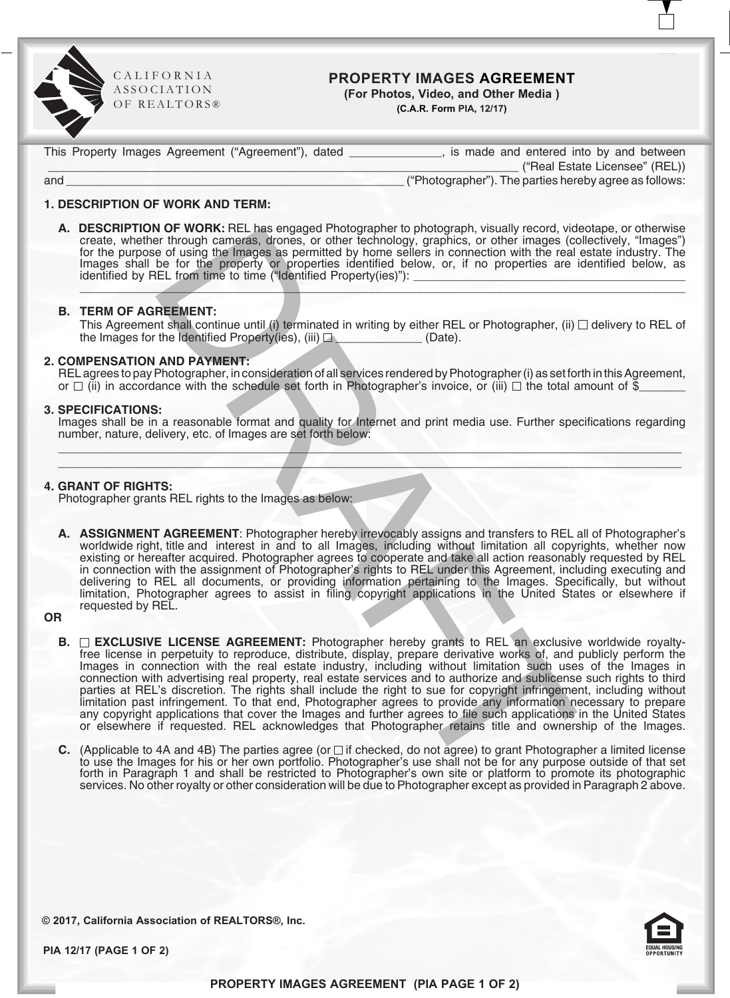

C A L I F O R N I A ASS O CIATION OF REALTORS<sup>®</sup>

# **PROPERTY IMAGES AGREEMENT**

**(For Photos, Video, and Other Media ) (C.A.R. Form PIA, 12/17)**

This Property Images Agreement ("Agreement"), dated \_\_\_\_\_\_\_\_\_\_\_\_\_, is made and entered into by and between

 \_\_\_\_\_\_\_\_\_\_\_\_\_\_\_\_\_\_\_\_\_\_\_\_\_\_\_\_\_\_\_\_\_\_\_\_\_\_\_\_\_\_\_\_\_\_\_\_\_\_\_\_\_\_\_\_\_\_\_\_\_\_\_\_\_\_\_\_\_\_\_ ("Real Estate Licensee" (REL)) and \_\_\_\_\_\_\_\_\_\_\_\_\_\_\_\_\_\_\_\_\_\_\_\_\_\_\_\_\_\_\_\_\_\_\_\_\_\_\_\_\_\_\_\_\_\_\_\_\_\_\_ ("Photographer"). The parties hereby agree as follows:

## **1. DESCRIPTION OF WORK AND TERM:**

**A. DESCRIPTION OF WORK:** REL has engaged Photographer to photograph, visually record, videotape, or otherwise create, whether through cameras, drones, or other technology, graphics, or other images (collectively, "Images"

# **B. TERM OF AGREEMENT:**

This Agreement shall continue until (i) terminated in writing by either REL or Photographer, (ii)  $\Box$  delivery to REL of the Images for the Identified Property(ies), (iii)  $\Box$  \_\_\_\_\_\_\_\_\_\_\_\_\_\_ (Date).

## **2. COMPENSATION AND PAYMENT:**

REL agrees to pay Photographer, in consideration of all services rendered by Photographer (i) as set forth in this Agreement, or  $\Box$  (ii) in accordance with the schedule set forth in Photographer's invoice, or (iii)  $\Box$  the total amount of  $\mathfrak{F}$ 

### **3. SPECIFICATIONS:**

Images shall be in a reasonable format and quality for Internet and print media use. Further specifications regarding number, nature, delivery, etc. of Images are set forth below:  $\mathcal{L} = \{ \mathcal{L} = \{ \mathcal{L} \} \cup \{ \mathcal{L} = \{ \mathcal{L} \} \cup \{ \mathcal{L} = \{ \mathcal{L} \} \cup \{ \mathcal{L} = \{ \mathcal{L} \} \cup \{ \mathcal{L} = \{ \mathcal{L} \} \cup \{ \mathcal{L} = \{ \mathcal{L} \} \cup \{ \mathcal{L} = \{ \mathcal{L} \} \cup \{ \mathcal{L} = \{ \mathcal{L} \} \cup \{ \mathcal{L} = \{ \mathcal{L} \} \cup \{ \mathcal{L} = \{ \mathcal{L} \} \cup \{ \$ 

 $\mathcal{L}$  , and the contribution of the contribution of the contribution of the contribution of the contribution of the contribution of the contribution of the contribution of the contribution of the contribution of the co

### **4. GRANT OF RIGHTS:**

Photographer grants REL rights to the Images as below:

A. ASSIGNMENT AGREEMENT: Photographer hereby irrevocably assigns and transfers to REL all of Photographer's worldwide right, title and interest in and to all Images, including without limitation all copyrights, whether now

**OR**

- view the main sensign renormalized propagation (and the main sensign of the main sensign of the properties of the fight of the main control of the main set of the main control of the main control of the main control of the **B. EXCLUSIVE LICENSE AGREEMENT:** Photographer hereby grants to REL an exclusive worldwide royalty free license in perpetuity to reproduce, distribute, display, prepare derivative works of, and publicly perform the Images in connection with the real estate industry, including without limitation such uses of the Images in connection with advertising real property, real estate services and to authorize and sublicense such rights to third parties at REL's discretion. The rights shall include the right to sue for copyright infringement, including without limitation past infringement. To that end, Photographer agrees to provide any information necessary to prepare any copyright applications that cover the Images and further agrees to file such applications in the United States or elsewhere if requested. REL acknowledges that Photographer retains title and ownership of the Images.
	- **C.** (Applicable to 4A and 4B) The parties agree (or  $\Box$  if checked, do not agree) to grant Photographer a limited license to use the Images for his or her own portfolio. Photographer's use shall not be for any purpose outside of that set forth in Paragraph 1 and shall be restricted to Photographer's own site or platform to promote its photographic services. No other royalty or other consideration will be due to Photographer except as provided in Paragraph 2 above.

**© 2017, California Association of REALTORS®, Inc.**